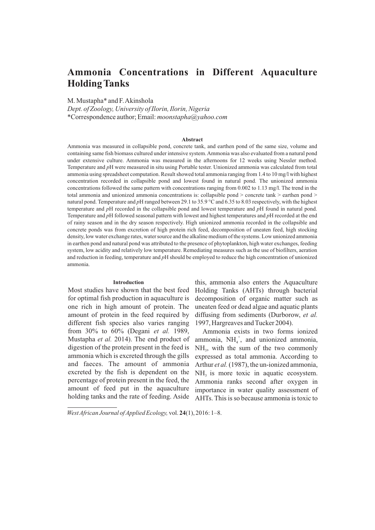# **Ammonia Concentrations in Different Aquaculture Holding Tanks**

M. Mustapha\* and F. Akinshola

*Dept. of Zoology, University of Ilorin, Ilorin, Nigeria* \*Correspondence author; Email: *moonstapha@yahoo.com*

#### **Abstract**

Ammonia was measured in collapsible pond, concrete tank, and earthen pond of the same size, volume and containing same fish biomass cultured under intensive system. Ammonia was also evaluated from a natural pond under extensive culture. Ammonia was measured in the afternoons for 12 weeks using Nessler method. Temperature and *p*H were measured in situ using Portable tester. Unionized ammonia was calculated from total ammonia using spreadsheet computation. Result showed total ammonia ranging from 1.4 to 10 mg/l with highest concentration recorded in collapsible pond and lowest found in natural pond. The unionized ammonia concentrations followed the same pattern with concentrations ranging from 0.002 to 1.13 mg/l. The trend in the total ammonia and unionized ammonia concentrations is: collapsible pond > concrete tank > earthen pond > natural pond. Temperature and *p*H ranged between 29.1 to 35.9 °C and 6.35 to 8.03 respectively, with the highest temperature and *p*H recorded in the collapsible pond and lowest temperature and *p*H found in natural pond. Temperature and *p*H followed seasonal pattern with lowest and highest temperatures and *p*H recorded at the end of rainy season and in the dry season respectively. High unionized ammonia recorded in the collapsible and concrete ponds was from excretion of high protein rich feed, decomposition of uneaten feed, high stocking density, low water exchange rates, water source and the alkaline medium of the systems. Low unionized ammonia in earthen pond and natural pond was attributed to the presence of phytoplankton, high water exchanges, feeding system, low acidity and relatively low temperature. Remediating measures such as the use of biofilters, aeration and reduction in feeding, temperature and *p*H should be employed to reduce the high concentration of unionized ammonia.

## **Introduction**

Most studies have shown that the best feed for optimal fish production in aquaculture is one rich in high amount of protein. The amount of protein in the feed required by different fish species also varies ranging from 30% to 60% (Degani *et al.* 1989, Mustapha *et al.* 2014). The end product of digestion of the protein present in the feed is ammonia which is excreted through the gills and faeces. The amount of ammonia excreted by the fish is dependent on the percentage of protein present in the feed, the amount of feed put in the aquaculture holding tanks and the rate of feeding. Aside

this, ammonia also enters the Aquaculture Holding Tanks (AHTs) through bacterial decomposition of organic matter such as uneaten feed or dead algae and aquatic plants diffusing from sediments (Durborow, *et al.* 1997, Hargreaves and Tucker 2004).

Ammonia exists in two forms ionized ammonia,  $NH_4^+$ , and unionized ammonia,  $NH<sub>3</sub>$ , with the sum of the two commonly expressed as total ammonia. According to Arthur *et al.* (1987), the un-ionized ammonia,  $NH<sub>3</sub>$  is more toxic in aquatic ecosystem. Ammonia ranks second after oxygen in importance in water quality assessment of AHTs. This is so because ammonia is toxic to

*West African Journal of Applied Ecology,* vol. **24**(1), 2016: 1–8.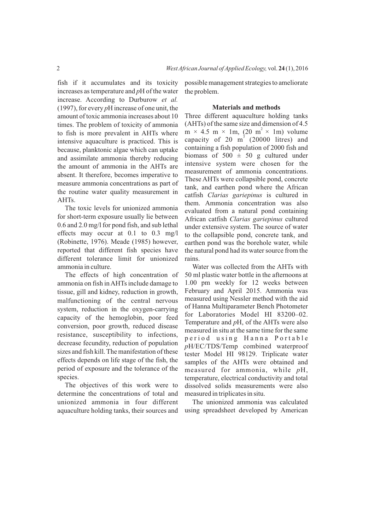fish if it accumulates and its toxicity increases as temperature and *p*H of the water increase. According to Durburow *et al.* (1997), for every *p*H increase of one unit, the amount of toxic ammonia increases about 10 times. The problem of toxicity of ammonia to fish is more prevalent in AHTs where intensive aquaculture is practiced. This is because, planktonic algae which can uptake and assimilate ammonia thereby reducing the amount of ammonia in the AHTs are absent. It therefore, becomes imperative to measure ammonia concentrations as part of the routine water quality measurement in AHTs.

The toxic levels for unionized ammonia for short-term exposure usually lie between 0.6 and 2.0 mg/l for pond fish, and sub lethal effects may occur at 0.1 to 0.3 mg/l (Robinette, 1976). Meade (1985) however, reported that different fish species have different tolerance limit for unionized ammonia in culture.

The effects of high concentration of ammonia on fish in AHTs include damage to tissue, gill and kidney, reduction in growth, malfunctioning of the central nervous system, reduction in the oxygen-carrying capacity of the hemoglobin, poor feed conversion, poor growth, reduced disease resistance, susceptibility to infections, decrease fecundity, reduction of population sizes and fish kill. The manifestation of these effects depends on life stage of the fish, the period of exposure and the tolerance of the species.

The objectives of this work were to determine the concentrations of total and unionized ammonia in four different aquaculture holding tanks, their sources and possible management strategies to ameliorate the problem.

# **Materials and methods**

Three different aquaculture holding tanks (AHTs) of the same size and dimension of 4.5  $m \times 4.5$  m  $\times$  1m, (20 m<sup>2</sup>  $\times$  1m) volume capacity of 20  $m<sup>3</sup>$  (20000 litres) and containing a fish population of 2000 fish and biomass of  $500 \pm 50$  g cultured under intensive system were chosen for the measurement of ammonia concentrations. These AHTs were collapsible pond, concrete tank, and earthen pond where the African catfish *Clarias gariepinus* is cultured in them. Ammonia concentration was also evaluated from a natural pond containing African catfish *Clarias gariepinus* cultured under extensive system. The source of water to the collapsible pond, concrete tank, and earthen pond was the borehole water, while the natural pond had its water source from the rains.

Water was collected from the AHTs with 50 ml plastic water bottle in the afternoons at 1.00 pm weekly for 12 weeks between February and April 2015. Ammonia was measured using Nessler method with the aid of Hanna Multiparameter Bench Photometer for Laboratories Model HI 83200–02. Temperature and *p*H, of the AHTs were also measured in situ at the same time for the same period using Hanna Portable *p*H/EC/TDS/Temp combined waterproof tester Model HI 98129. Triplicate water samples of the AHTs were obtained and measured for ammonia, while *p*H, temperature, electrical conductivity and total dissolved solids measurements were also measured in triplicates in situ.

The unionized ammonia was calculated using spreadsheet developed by American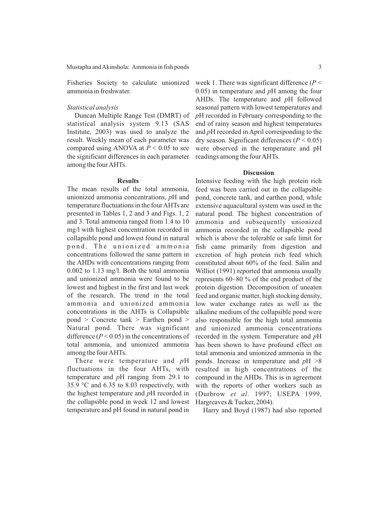Mustapha and Akinshola: Ammonia in fish ponds 3

Fisheries Society to calculate unionized ammonia in freshwater.

# *Statistical analysis*

Duncan Multiple Range Test (DMRT) of statistical analysis system 9.13 (SAS Institute, 2003) was used to analyze the result. Weekly mean of each parameter was compared using ANOVA at  $P \le 0.05$  to see the significant differences in each parameter among the four AHTs.

# **Results**

The mean results of the total ammonia, unionized ammonia concentrations, *p*H and temperature fluctuations in the four AHTs are presented in Tables 1, 2 and 3 and Figs. 1, 2 and 3. Total ammonia ranged from 1.4 to 10 mg/l with highest concentration recorded in collapsible pond and lowest found in natural pond. The unionized ammonia concentrations followed the same pattern in the AHDs with concentrations ranging from 0.002 to 1.13 mg/l. Both the total ammonia and unionized ammonia were found to be lowest and highest in the first and last week of the research. The trend in the total ammonia and unionized ammonia concentrations in the AHTs is Collapsible pond > Concrete tank > Earthen pond > Natural pond. There was significant difference  $(P < 0.05)$  in the concentrations of total ammonia, and unionized ammonia among the four AHTs.

There were temperature and *p*H fluctuations in the four AHTs, with temperature and *p*H ranging from 29.1 to 35.9 °C and 6.35 to 8.03 respectively, with the highest temperature and *p*H recorded in the collapsible pond in week 12 and lowest temperature and pH found in natural pond in week 1. There was significant difference (*P* < 0.05) in temperature and *p*H among the four AHDs. The temperature and *p*H followed seasonal pattern with lowest temperatures and

*p*H recorded in February corresponding to the end of rainy season and highest temperatures and *p*H recorded in April corresponding to the dry season. Significant differences (*P* < 0.05) were observed in the temperature and pH readings among the four AHTs.

## **Discussion**

Intensive feeding with the high protein rich feed was been carried out in the collapsible pond, concrete tank, and earthen pond, while extensive aquacultural system was used in the natural pond. The highest concentration of ammonia and subsequently unionized ammonia recorded in the collapsible pond which is above the tolerable or safe limit for fish came primarily from digestion and excretion of high protein rich feed which constituted about 60% of the feed. Salin and Williot (1991) reported that ammonia usually represents 60–80 % of the end product of the protein digestion. Decomposition of uneaten feed and organic matter, high stocking density, low water exchange rates as well as the alkaline medium of the collapsible pond were also responsible for the high total ammonia and unionized ammonia concentrations recorded in the system. Temperature and *p*H has been shown to have profound effect on total ammonia and unionized ammonia in the ponds. Increase in temperature and *p*H >8 resulted in high concentrations of the compound in the AHDs. This is in agreement with the reports of other workers such as (Durbrow *et al*. 1997; USEPA 1999, Hargreaves & Tucker, 2004).

Harry and Boyd (1987) had also reported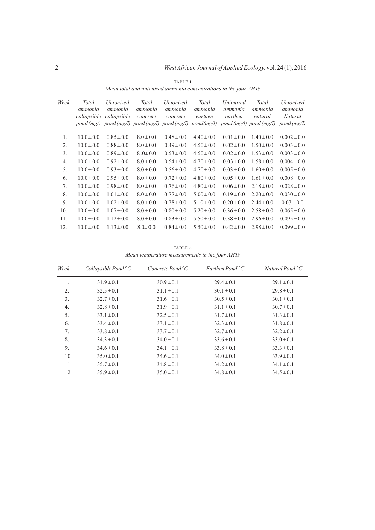| Week | Total<br>ammonia<br>collapsible | <i>Unionized</i><br>ammonia<br>collapsible | Total<br>ammonia<br>concrete | <i>Unionized</i><br>ammonia<br>concrete<br>$pond(mg)$ pond $(mg/l)$ pond $(mg/l)$ pond $(mg/l)$ pond $(mg/l)$ | Total<br>ammonia<br>earthen | <i>Unionized</i><br>ammonia<br>earthen | Total<br>ammonia<br>natural<br>$pond(mg/l)$ pond $(mg/l)$ | Unionized<br>ammonia<br>Natural<br>pond(mg/l) |
|------|---------------------------------|--------------------------------------------|------------------------------|---------------------------------------------------------------------------------------------------------------|-----------------------------|----------------------------------------|-----------------------------------------------------------|-----------------------------------------------|
| 1.   | $10.0 \pm 0.0$                  | $0.85 \pm 0.0$                             | $8.0 \pm 0.0$                | $0.48 \pm 0.0$                                                                                                | $4.40 \pm 0.0$              | $0.01 \pm 0.0$                         | $1.40 \pm 0.0$                                            | $0.002 \pm 0.0$                               |
| 2.   | $10.0 \pm 0.0$                  | $0.88 \pm 0.0$                             | $8.0 \pm 0.0$                | $0.49 \pm 0.0$                                                                                                | $4.50 \pm 0.0$              | $0.02 \pm 0.0$                         | $1.50 \pm 0.0$                                            | $0.003 \pm 0.0$                               |
| 3.   | $10.0 \pm 0.0$                  | $0.89 \pm 0.0$                             | $8.0 \pm 0.0$                | $0.53 \pm 0.0$                                                                                                | $4.50 \pm 0.0$              | $0.02 \pm 0.0$                         | $1.53 \pm 0.0$                                            | $0.003 \pm 0.0$                               |
| 4.   | $10.0 \pm 0.0$                  | $0.92 \pm 0.0$                             | $8.0 \pm 0.0$                | $0.54 \pm 0.0$                                                                                                | $4.70 \pm 0.0$              | $0.03 \pm 0.0$                         | $1.58 \pm 0.0$                                            | $0.004 \pm 0.0$                               |
| 5.   | $10.0 \pm 0.0$                  | $0.93 \pm 0.0$                             | $8.0 \pm 0.0$                | $0.56 \pm 0.0$                                                                                                | $4.70 \pm 0.0$              | $0.03 \pm 0.0$                         | $1.60 \pm 0.0$                                            | $0.005 \pm 0.0$                               |
| 6.   | $10.0 \pm 0.0$                  | $0.95 \pm 0.0$                             | $8.0 \pm 0.0$                | $0.72 \pm 0.0$                                                                                                | $4.80 \pm 0.0$              | $0.05 \pm 0.0$                         | $1.61 \pm 0.0$                                            | $0.008 \pm 0.0$                               |
| 7.   | $10.0 \pm 0.0$                  | $0.98 \pm 0.0$                             | $8.0 \pm 0.0$                | $0.76 \pm 0.0$                                                                                                | $4.80 \pm 0.0$              | $0.06 \pm 0.0$                         | $2.18 \pm 0.0$                                            | $0.028 \pm 0.0$                               |
| 8.   | $10.0 \pm 0.0$                  | $1.01 \pm 0.0$                             | $8.0 \pm 0.0$                | $0.77 \pm 0.0$                                                                                                | $5.00 \pm 0.0$              | $0.19 \pm 0.0$                         | $2.20 \pm 0.0$                                            | $0.030 \pm 0.0$                               |
| 9.   | $10.0 \pm 0.0$                  | $1.02 \pm 0.0$                             | $8.0 \pm 0.0$                | $0.78 \pm 0.0$                                                                                                | $5.10 \pm 0.0$              | $0.20 \pm 0.0$                         | $2.44 \pm 0.0$                                            | $0.03 \pm 0.0$                                |
| 10.  | $10.0 \pm 0.0$                  | $1.07 \pm 0.0$                             | $8.0 \pm 0.0$                | $0.80 \pm 0.0$                                                                                                | $5.20 \pm 0.0$              | $0.36 \pm 0.0$                         | $2.58 \pm 0.0$                                            | $0.065 \pm 0.0$                               |
| 11.  | $10.0 \pm 0.0$                  | $1.12 \pm 0.0$                             | $8.0 \pm 0.0$                | $0.83 \pm 0.0$                                                                                                | $5.50 \pm 0.0$              | $0.38 \pm 0.0$                         | $2.96 \pm 0.0$                                            | $0.095 \pm 0.0$                               |
| 12.  | $10.0 \pm 0.0$                  | $1.13 \pm 0.0$                             | $8.0 \pm 0.0$                | $0.84 \pm 0.0$                                                                                                | $5.50 \pm 0.0$              | $0.42 \pm 0.0$                         | $2.98 \pm 0.0$                                            | $0.099 \pm 0.0$                               |

TABLE 1 *Mean total and unionized ammonia concentrations in the four AHTs*

TABLE 2 *Mean temperature measurements in the four AHTs*

| Week | Collapsible Pond ${}^{\circ}C$ | Concrete Pond ${}^{\circ}C$ | Earthen Pond ${}^{\circ}C$ | Natural Pond ${}^{\circ}C$ |
|------|--------------------------------|-----------------------------|----------------------------|----------------------------|
| 1.   | $31.9 \pm 0.1$                 | $30.9 \pm 0.1$              | $29.4 \pm 0.1$             | $29.1 \pm 0.1$             |
| 2.   | $32.5 \pm 0.1$                 | $31.1 \pm 0.1$              | $30.1 \pm 0.1$             | $29.8 \pm 0.1$             |
| 3.   | $32.7 \pm 0.1$                 | $31.6 \pm 0.1$              | $30.5 \pm 0.1$             | $30.1 \pm 0.1$             |
| 4.   | $32.8 \pm 0.1$                 | $31.9 \pm 0.1$              | $31.1 \pm 0.1$             | $30.7 \pm 0.1$             |
| 5.   | $33.1 \pm 0.1$                 | $32.5 \pm 0.1$              | $31.7 \pm 0.1$             | $31.3 \pm 0.1$             |
| 6.   | $33.4 \pm 0.1$                 | $33.1 \pm 0.1$              | $32.3 \pm 0.1$             | $31.8 \pm 0.1$             |
| 7.   | $33.8 \pm 0.1$                 | $33.7 \pm 0.1$              | $32.7 \pm 0.1$             | $32.2 \pm 0.1$             |
| 8.   | $34.3 \pm 0.1$                 | $34.0 \pm 0.1$              | $33.6 \pm 0.1$             | $33.0 \pm 0.1$             |
| 9.   | $34.6 \pm 0.1$                 | $34.1 \pm 0.1$              | $33.8 \pm 0.1$             | $33.3 \pm 0.1$             |
| 10.  | $35.0 \pm 0.1$                 | $34.6 \pm 0.1$              | $34.0 \pm 0.1$             | $33.9 \pm 0.1$             |
| 11.  | $35.7 \pm 0.1$                 | $34.8 \pm 0.1$              | $34.2 \pm 0.1$             | $34.1 \pm 0.1$             |
| 12.  | $35.9 \pm 0.1$                 | $35.0 \pm 0.1$              | $34.8 \pm 0.1$             | $34.5 \pm 0.1$             |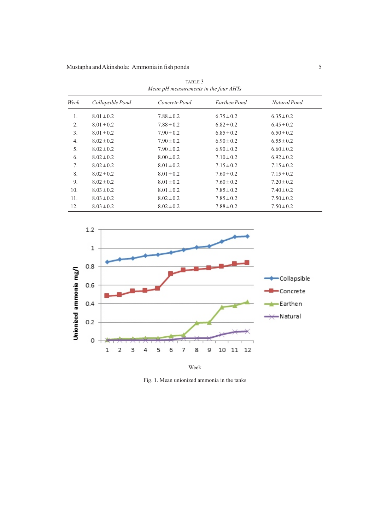| <i>mean pri measurements in the jour mirris</i> |                  |                |                |                |  |  |  |
|-------------------------------------------------|------------------|----------------|----------------|----------------|--|--|--|
| Week                                            | Collapsible Pond | Concrete Pond  | Earthen Pond   | Natural Pond   |  |  |  |
| 1.                                              | $8.01 \pm 0.2$   | $7.88 \pm 0.2$ | $6.75 \pm 0.2$ | $6.35 \pm 0.2$ |  |  |  |
| 2.                                              | $8.01 \pm 0.2$   | $7.88 \pm 0.2$ | $6.82 \pm 0.2$ | $6.45 \pm 0.2$ |  |  |  |
| 3.                                              | $8.01 \pm 0.2$   | $7.90 \pm 0.2$ | $6.85 \pm 0.2$ | $6.50 \pm 0.2$ |  |  |  |
| 4.                                              | $8.02 \pm 0.2$   | $7.90 \pm 0.2$ | $6.90 \pm 0.2$ | $6.55 \pm 0.2$ |  |  |  |
| 5.                                              | $8.02 \pm 0.2$   | $7.90 \pm 0.2$ | $6.90 \pm 0.2$ | $6.60 \pm 0.2$ |  |  |  |
| 6.                                              | $8.02 \pm 0.2$   | $8.00 \pm 0.2$ | $7.10 \pm 0.2$ | $6.92 \pm 0.2$ |  |  |  |
| 7.                                              | $8.02 \pm 0.2$   | $8.01 \pm 0.2$ | $7.15 \pm 0.2$ | $7.15 \pm 0.2$ |  |  |  |
| 8.                                              | $8.02 \pm 0.2$   | $8.01 \pm 0.2$ | $7.60 \pm 0.2$ | $7.15 \pm 0.2$ |  |  |  |
| 9.                                              | $8.02 \pm 0.2$   | $8.01 \pm 0.2$ | $7.60 \pm 0.2$ | $7.20 \pm 0.2$ |  |  |  |
| 10.                                             | $8.03 \pm 0.2$   | $8.01 \pm 0.2$ | $7.85 \pm 0.2$ | $7.40 \pm 0.2$ |  |  |  |
| 11.                                             | $8.03 \pm 0.2$   | $8.02 \pm 0.2$ | $7.85 \pm 0.2$ | $7.50 \pm 0.2$ |  |  |  |
| 12.                                             | $8.03 \pm 0.2$   | $8.02 \pm 0.2$ | $7.88 \pm 0.2$ | $7.50 \pm 0.2$ |  |  |  |

TABLE 3 *Mean pH measurements in the four AHTs*



Fig. 1. Mean unionized ammonia in the tanks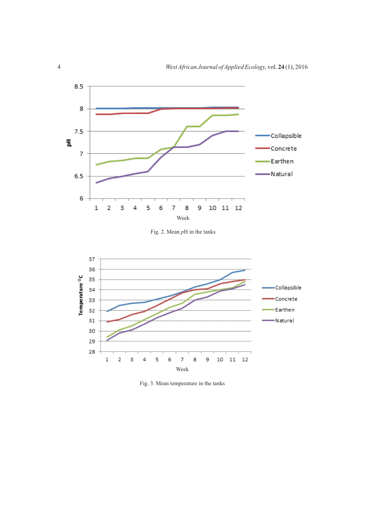

Fig. 2. Mean *p*H in the tanks



Fig. 3. Mean temperature in the tanks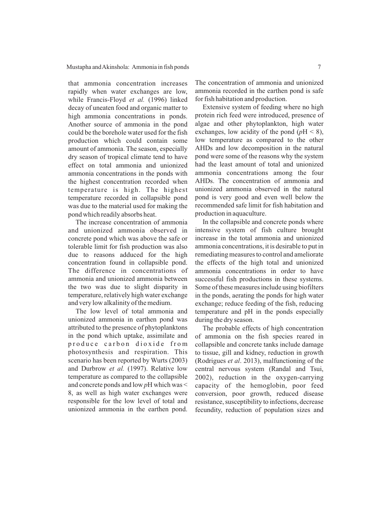that ammonia concentration increases rapidly when water exchanges are low, while Francis-Floyd *et al.* (1996) linked decay of uneaten food and organic matter to high ammonia concentrations in ponds. Another source of ammonia in the pond could be the borehole water used for the fish production which could contain some amount of ammonia. The season, especially dry season of tropical climate tend to have effect on total ammonia and unionized ammonia concentrations in the ponds with the highest concentration recorded when temperature is high. The highest temperature recorded in collapsible pond was due to the material used for making the pond which readily absorbs heat.

The increase concentration of ammonia and unionized ammonia observed in concrete pond which was above the safe or tolerable limit for fish production was also due to reasons adduced for the high concentration found in collapsible pond. The difference in concentrations of ammonia and unionized ammonia between the two was due to slight disparity in temperature, relatively high water exchange and very low alkalinity of the medium.

The low level of total ammonia and unionized ammonia in earthen pond was attributed to the presence of phytoplanktons in the pond which uptake, assimilate and produce carbon dioxide from photosynthesis and respiration. This scenario has been reported by Wurts (2003) and Durbrow *et al.* (1997). Relative low temperature as compared to the collapsible and concrete ponds and low *p*H which was < 8, as well as high water exchanges were responsible for the low level of total and unionized ammonia in the earthen pond.

The concentration of ammonia and unionized ammonia recorded in the earthen pond is safe for fish habitation and production.

Extensive system of feeding where no high protein rich feed were introduced, presence of algae and other phytoplankton, high water exchanges, low acidity of the pond  $(pH < 8)$ , low temperature as compared to the other AHDs and low decomposition in the natural pond were some of the reasons why the system had the least amount of total and unionized ammonia concentrations among the four AHDs. The concentration of ammonia and unionized ammonia observed in the natural pond is very good and even well below the recommended safe limit for fish habitation and production in aquaculture.

In the collapsible and concrete ponds where intensive system of fish culture brought increase in the total ammonia and unionized ammonia concentrations, it is desirable to put in remediating measures to control and ameliorate the effects of the high total and unionized ammonia concentrations in order to have successful fish productions in these systems. Some of these measures include using biofilters in the ponds, aerating the ponds for high water exchange; reduce feeding of the fish, reducing temperature and pH in the ponds especially during the dry season.

The probable effects of high concentration of ammonia on the fish species reared in collapsible and concrete tanks include damage to tissue, gill and kidney, reduction in growth (Rodrigues *et al*. 2013), malfunctioning of the central nervous system (Randal and Tsui, 2002), reduction in the oxygen-carrying capacity of the hemoglobin, poor feed conversion, poor growth, reduced disease resistance, susceptibility to infections, decrease fecundity, reduction of population sizes and